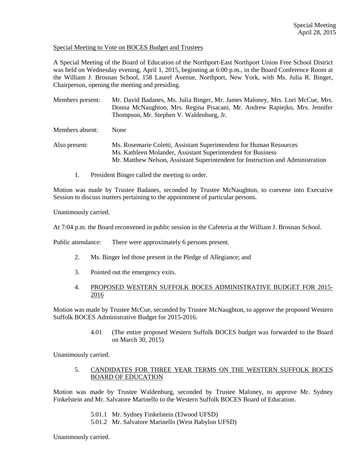## Special Meeting to Vote on BOCES Budget and Trustees

A Special Meeting of the Board of Education of the Northport-East Northport Union Free School District was held on Wednesday evening, April 1, 2015, beginning at 6:00 p.m., in the Board Conference Room at the William J. Brosnan School, 158 Laurel Avenue, Northport, New York, with Ms. Julia R. Binger, Chairperson, opening the meeting and presiding.

Members present: Mr. David Badanes, Ms. Julia Binger, Mr. James Maloney, Mrs. Lori McCue, Mrs. Donna McNaughton, Mrs. Regina Pisacani, Mr. Andrew Rapiejko, Mrs. Jennifer Thompson, Mr. Stephen V. Waldenburg, Jr.

Members absent: None

- Also present: Ms. Rosemarie Coletti, Assistant Superintendent for Human Resources Ms. Kathleen Molander, Assistant Superintendent for Business Mr. Matthew Nelson, Assistant Superintendent for Instruction and Administration
	- 1. President Binger called the meeting to order.

Motion was made by Trustee Badanes, seconded by Trustee McNaughton, to convene into Executive Session to discuss matters pertaining to the appointment of particular persons.

Unanimously carried.

At 7:04 p.m. the Board reconvened in public session in the Cafeteria at the William J. Brosnan School.

Public attendance: There were approximately 6 persons present.

- 2. Ms. Binger led those present in the Pledge of Allegiance; and
- 3. Pointed out the emergency exits.
- 4. PROPOSED WESTERN SUFFOLK BOCES ADMINISTRATIVE BUDGET FOR 2015- 2016

Motion was made by Trustee McCue, seconded by Trustee McNaughton, to approve the proposed Western Suffolk BOCES Administrative Budget for 2015-2016.

> 4.01 (The entire proposed Western Suffolk BOCES budget was forwarded to the Board on March 30, 2015)

Unanimously carried.

# 5. CANDIDATES FOR THREE YEAR TERMS ON THE WESTERN SUFFOLK BOCES BOARD OF EDUCATION

Motion was made by Trustee Waldenburg, seconded by Trustee Maloney, to approve Mr. Sydney Finkelstein and Mr. Salvatore Marinello to the Western Suffolk BOCES Board of Education.

- 5.01.1 Mr. Sydney Finkelstein (Elwood UFSD)
- 5.01.2 Mr. Salvatore Marinello (West Babylon UFSD)

Unanimously carried.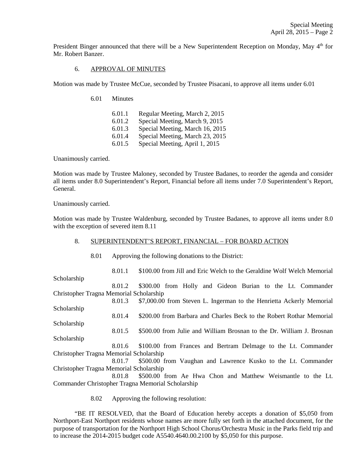President Binger announced that there will be a New Superintendent Reception on Monday, May  $4<sup>th</sup>$  for Mr. Robert Banzer.

#### 6. APPROVAL OF MINUTES

Motion was made by Trustee McCue, seconded by Trustee Pisacani, to approve all items under 6.01

6.01 Minutes

| 6.01.1 | Regular Meeting, March 2, 2015  |
|--------|---------------------------------|
| 6.01.2 | Special Meeting, March 9, 2015  |
| 6.01.3 | Special Meeting, March 16, 2015 |
| 6.01.4 | Special Meeting, March 23, 2015 |
| 6.01.5 | Special Meeting, April 1, 2015  |

Unanimously carried.

Motion was made by Trustee Maloney, seconded by Trustee Badanes, to reorder the agenda and consider all items under 8.0 Superintendent's Report, Financial before all items under 7.0 Superintendent's Report, General.

Unanimously carried.

Motion was made by Trustee Waldenburg, seconded by Trustee Badanes, to approve all items under 8.0 with the exception of severed item 8.11

#### 8. SUPERINTENDENT'S REPORT, FINANCIAL – FOR BOARD ACTION

8.01 Approving the following donations to the District:

 8.01.1 \$100.00 from Jill and Eric Welch to the Geraldine Wolf Welch Memorial Scholarship 8.01.2 \$300.00 from Holly and Gideon Burian to the Lt. Commander Christopher Tragna Memorial Scholarship 8.01.3 \$7,000.00 from Steven L. Ingerman to the Henrietta Ackerly Memorial Scholarship 8.01.4 \$200.00 from Barbara and Charles Beck to the Robert Rothar Memorial Scholarship 8.01.5 \$500.00 from Julie and William Brosnan to the Dr. William J. Brosnan Scholarship 8.01.6 \$100.00 from Frances and Bertram Delmage to the Lt. Commander Christopher Tragna Memorial Scholarship 8.01.7 \$500.00 from Vaughan and Lawrence Kusko to the Lt. Commander Christopher Tragna Memorial Scholarship 8.01.8 \$500.00 from Ae Hwa Chon and Matthew Weismantle to the Lt. Commander Christopher Tragna Memorial Scholarship

8.02 Approving the following resolution:

 "BE IT RESOLVED, that the Board of Education hereby accepts a donation of \$5,050 from Northport-East Northport residents whose names are more fully set forth in the attached document, for the purpose of transportation for the Northport High School Chorus/Orchestra Music in the Parks field trip and to increase the 2014-2015 budget code A5540.4640.00.2100 by \$5,050 for this purpose.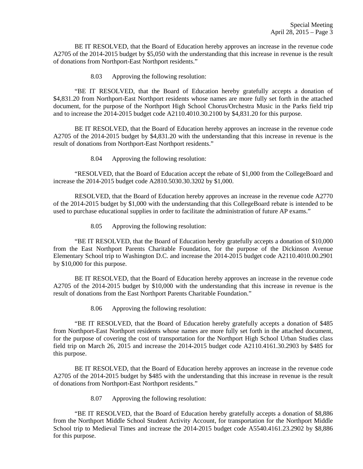BE IT RESOLVED, that the Board of Education hereby approves an increase in the revenue code A2705 of the 2014-2015 budget by \$5,050 with the understanding that this increase in revenue is the result of donations from Northport-East Northport residents."

8.03 Approving the following resolution:

 "BE IT RESOLVED, that the Board of Education hereby gratefully accepts a donation of \$4,831.20 from Northport-East Northport residents whose names are more fully set forth in the attached document, for the purpose of the Northport High School Chorus/Orchestra Music in the Parks field trip and to increase the 2014-2015 budget code A2110.4010.30.2100 by \$4,831.20 for this purpose.

 BE IT RESOLVED, that the Board of Education hereby approves an increase in the revenue code A2705 of the 2014-2015 budget by \$4,831.20 with the understanding that this increase in revenue is the result of donations from Northport-East Northport residents."

8.04 Approving the following resolution:

 "RESOLVED, that the Board of Education accept the rebate of \$1,000 from the CollegeBoard and increase the 2014-2015 budget code A2810.5030.30.3202 by \$1,000.

 RESOLVED, that the Board of Education hereby approves an increase in the revenue code A2770 of the 2014-2015 budget by \$1,000 with the understanding that this CollegeBoard rebate is intended to be used to purchase educational supplies in order to facilitate the administration of future AP exams."

8.05 Approving the following resolution:

 "BE IT RESOLVED, that the Board of Education hereby gratefully accepts a donation of \$10,000 from the East Northport Parents Charitable Foundation, for the purpose of the Dickinson Avenue Elementary School trip to Washington D.C. and increase the 2014-2015 budget code A2110.4010.00.2901 by \$10,000 for this purpose.

 BE IT RESOLVED, that the Board of Education hereby approves an increase in the revenue code A2705 of the 2014-2015 budget by \$10,000 with the understanding that this increase in revenue is the result of donations from the East Northport Parents Charitable Foundation."

8.06 Approving the following resolution:

 "BE IT RESOLVED, that the Board of Education hereby gratefully accepts a donation of \$485 from Northport-East Northport residents whose names are more fully set forth in the attached document, for the purpose of covering the cost of transportation for the Northport High School Urban Studies class field trip on March 26, 2015 and increase the 2014-2015 budget code A2110.4161.30.2903 by \$485 for this purpose.

 BE IT RESOLVED, that the Board of Education hereby approves an increase in the revenue code A2705 of the 2014-2015 budget by \$485 with the understanding that this increase in revenue is the result of donations from Northport-East Northport residents."

8.07 Approving the following resolution:

 "BE IT RESOLVED, that the Board of Education hereby gratefully accepts a donation of \$8,886 from the Northport Middle School Student Activity Account, for transportation for the Northport Middle School trip to Medieval Times and increase the 2014-2015 budget code A5540.4161.23.2902 by \$8,886 for this purpose.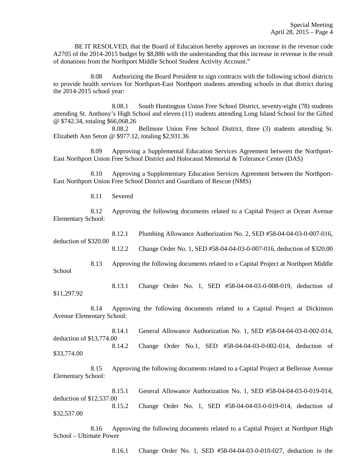BE IT RESOLVED, that the Board of Education hereby approves an increase in the revenue code A2705 of the 2014-2015 budget by \$8,886 with the understanding that this increase in revenue is the result of donations from the Northport Middle School Student Activity Account."

 8.08 Authorizing the Board President to sign contracts with the following school districts to provide health services for Northport-East Northport students attending schools in that district during the 2014-2015 school year:

 8.08.1 South Huntington Union Free School District, seventy-eight (78) students attending St. Anthony's High School and eleven (11) students attending Long Island School for the Gifted @ \$742.34, totaling \$66,068.26

 8.08.2 Bellmore Union Free School District, three (3) students attending St. Elizabeth Ann Seton @ \$977.12, totaling \$2,931.36

 8.09 Approving a Supplemental Education Services Agreement between the Northport-East Northport Union Free School District and Holocaust Memorial & Tolerance Center (DAS)

 8.10 Approving a Supplementary Education Services Agreement between the Northport-East Northport Union Free School District and Guardians of Rescue (NMS)

8.11 Severed

 8.12 Approving the following documents related to a Capital Project at Ocean Avenue Elementary School:

 8.12.1 Plumbing Allowance Authorization No. 2, SED #58-04-04-03-0-007-016, deduction of \$320.00

8.12.2 Change Order No. 1, SED #58-04-04-03-0-007-016, deduction of \$320.00

 8.13 Approving the following documents related to a Capital Project at Northport Middle School

 8.13.1 Change Order No. 1, SED #58-04-04-03-0-008-019, deduction of \$11,297.92

 8.14 Approving the following documents related to a Capital Project at Dickinson Avenue Elementary School:

 8.14.1 General Allowance Authorization No. 1, SED #58-04-04-03-0-002-014, deduction of \$13,774.00 8.14.2 Change Order No.1, SED #58-04-04-03-0-002-014, deduction of \$33,774.00

 8.15 Approving the following documents related to a Capital Project at Bellerose Avenue Elementary School:

 8.15.1 General Allowance Authorization No. 1, SED #58-04-04-03-0-019-014, deduction of \$12,537.00 8.15.2 Change Order No. 1, SED #58-04-04-03-0-019-014, deduction of \$32,537.00

 8.16 Approving the following documents related to a Capital Project at Northport High School – Ultimate Power

8.16.1 Change Order No. 1, SED #58-04-04-03-0-010-027, deduction in the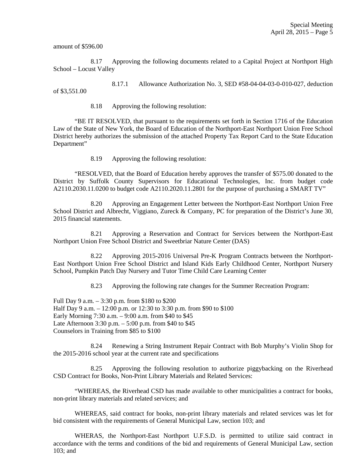amount of \$596.00

 8.17 Approving the following documents related to a Capital Project at Northport High School – Locust Valley

 8.17.1 Allowance Authorization No. 3, SED #58-04-04-03-0-010-027, deduction of \$3,551.00

8.18 Approving the following resolution:

 "BE IT RESOLVED, that pursuant to the requirements set forth in Section 1716 of the Education Law of the State of New York, the Board of Education of the Northport-East Northport Union Free School District hereby authorizes the submission of the attached Property Tax Report Card to the State Education Department"

8.19 Approving the following resolution:

 "RESOLVED, that the Board of Education hereby approves the transfer of \$575.00 donated to the District by Suffolk County Supervisors for Educational Technologies, Inc. from budget code A2110.2030.11.0200 to budget code A2110.2020.11.2801 for the purpose of purchasing a SMART TV"

 8.20 Approving an Engagement Letter between the Northport-East Northport Union Free School District and Albrecht, Viggiano, Zureck & Company, PC for preparation of the District's June 30, 2015 financial statements.

 8.21 Approving a Reservation and Contract for Services between the Northport-East Northport Union Free School District and Sweetbriar Nature Center (DAS)

 8.22 Approving 2015-2016 Universal Pre-K Program Contracts between the Northport-East Northport Union Free School District and Island Kids Early Childhood Center, Northport Nursery School, Pumpkin Patch Day Nursery and Tutor Time Child Care Learning Center

8.23 Approving the following rate changes for the Summer Recreation Program:

Full Day 9 a.m. – 3:30 p.m. from \$180 to \$200 Half Day 9 a.m. – 12:00 p.m. or 12:30 to 3:30 p.m. from \$90 to \$100 Early Morning 7:30 a.m. – 9:00 a.m. from \$40 to \$45 Late Afternoon 3:30 p.m. – 5:00 p.m. from \$40 to \$45 Counselors in Training from \$85 to \$100

 8.24 Renewing a String Instrument Repair Contract with Bob Murphy's Violin Shop for the 2015-2016 school year at the current rate and specifications

 8.25 Approving the following resolution to authorize piggybacking on the Riverhead CSD Contract for Books, Non-Print Library Materials and Related Services:

 "WHEREAS, the Riverhead CSD has made available to other municipalities a contract for books, non-print library materials and related services; and

 WHEREAS, said contract for books, non-print library materials and related services was let for bid consistent with the requirements of General Municipal Law, section 103; and

 WHERAS, the Northport-East Northport U.F.S.D. is permitted to utilize said contract in accordance with the terms and conditions of the bid and requirements of General Municipal Law, section 103; and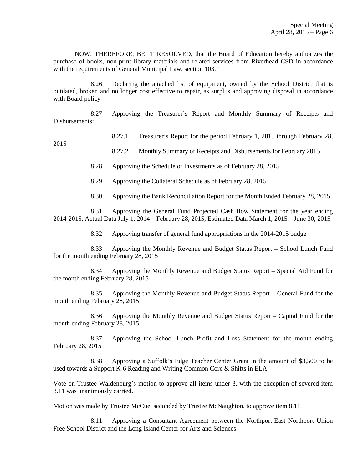NOW, THEREFORE, BE IT RESOLVED, that the Board of Education hereby authorizes the purchase of books, non-print library materials and related services from Riverhead CSD in accordance with the requirements of General Municipal Law, section 103."

 8.26 Declaring the attached list of equipment, owned by the School District that is outdated, broken and no longer cost effective to repair, as surplus and approving disposal in accordance with Board policy

 8.27 Approving the Treasurer's Report and Monthly Summary of Receipts and Disbursements:

## 8.27.1 Treasurer's Report for the period February 1, 2015 through February 28,

2015

8.27.2 Monthly Summary of Receipts and Disbursements for February 2015

8.28 Approving the Schedule of Investments as of February 28, 2015

8.29 Approving the Collateral Schedule as of February 28, 2015

8.30 Approving the Bank Reconciliation Report for the Month Ended February 28, 2015

 8.31 Approving the General Fund Projected Cash flow Statement for the year ending 2014-2015, Actual Data July 1, 2014 – February 28, 2015, Estimated Data March 1, 2015 – June 30, 2015

8.32 Approving transfer of general fund appropriations in the 2014-2015 budge

 8.33 Approving the Monthly Revenue and Budget Status Report – School Lunch Fund for the month ending February 28, 2015

 8.34 Approving the Monthly Revenue and Budget Status Report – Special Aid Fund for the month ending February 28, 2015

 8.35 Approving the Monthly Revenue and Budget Status Report – General Fund for the month ending February 28, 2015

 8.36 Approving the Monthly Revenue and Budget Status Report – Capital Fund for the month ending February 28, 2015

 8.37 Approving the School Lunch Profit and Loss Statement for the month ending February 28, 2015

 8.38 Approving a Suffolk's Edge Teacher Center Grant in the amount of \$3,500 to be used towards a Support K-6 Reading and Writing Common Core & Shifts in ELA

Vote on Trustee Waldenburg's motion to approve all items under 8. with the exception of severed item 8.11 was unanimously carried.

Motion was made by Trustee McCue, seconded by Trustee McNaughton, to approve item 8.11

 8.11 Approving a Consultant Agreement between the Northport-East Northport Union Free School District and the Long Island Center for Arts and Sciences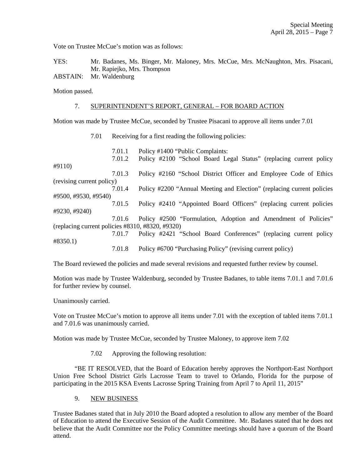Vote on Trustee McCue's motion was as follows:

YES: Mr. Badanes, Ms. Binger, Mr. Maloney, Mrs. McCue, Mrs. McNaughton, Mrs. Pisacani, Mr. Rapiejko, Mrs. Thompson ABSTAIN: Mr. Waldenburg

Motion passed.

## 7. SUPERINTENDENT'S REPORT, GENERAL – FOR BOARD ACTION

Motion was made by Trustee McCue, seconded by Trustee Pisacani to approve all items under 7.01

7.01 Receiving for a first reading the following policies:

|                                                        | 7.01.1 | Policy #1400 "Public Complaints:                                       |  |
|--------------------------------------------------------|--------|------------------------------------------------------------------------|--|
|                                                        | 7.01.2 | Policy #2100 "School Board Legal Status" (replacing current policy     |  |
| #9110)                                                 |        |                                                                        |  |
|                                                        | 7.01.3 | Policy #2160 "School District Officer and Employee Code of Ethics      |  |
| (revising current policy)                              |        |                                                                        |  |
|                                                        | 7.01.4 | Policy #2200 "Annual Meeting and Election" (replacing current policies |  |
| #9500, #9530, #9540)                                   |        |                                                                        |  |
|                                                        | 7.01.5 | Policy #2410 "Appointed Board Officers" (replacing current policies    |  |
| #9230, #9240)                                          |        |                                                                        |  |
|                                                        | 7.01.6 | Policy #2500 "Formulation, Adoption and Amendment of Policies"         |  |
| (replacing current policies $\#8310, \#8320, \#9320$ ) |        |                                                                        |  |
|                                                        | 7.01.7 | Policy #2421 "School Board Conferences" (replacing current policy      |  |
| #8350.1)                                               |        |                                                                        |  |
|                                                        | 7.01.8 | Policy #6700 "Purchasing Policy" (revising current policy)             |  |

The Board reviewed the policies and made several revisions and requested further review by counsel.

Motion was made by Trustee Waldenburg, seconded by Trustee Badanes, to table items 7.01.1 and 7.01.6 for further review by counsel.

Unanimously carried.

Vote on Trustee McCue's motion to approve all items under 7.01 with the exception of tabled items 7.01.1 and 7.01.6 was unanimously carried.

Motion was made by Trustee McCue, seconded by Trustee Maloney, to approve item 7.02

7.02 Approving the following resolution:

 "BE IT RESOLVED, that the Board of Education hereby approves the Northport-East Northport Union Free School District Girls Lacrosse Team to travel to Orlando, Florida for the purpose of participating in the 2015 KSA Events Lacrosse Spring Training from April 7 to April 11, 2015"

### 9. NEW BUSINESS

Trustee Badanes stated that in July 2010 the Board adopted a resolution to allow any member of the Board of Education to attend the Executive Session of the Audit Committee. Mr. Badanes stated that he does not believe that the Audit Committee nor the Policy Committee meetings should have a quorum of the Board attend.